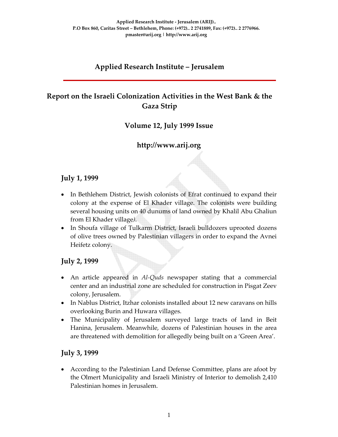# **Applied Research Institute – Jerusalem**

# **Report on the Israeli Colonization Activities in the West Bank & the Gaza Strip**

### **Volume 12, July 1999 Issue**

# **http://www.arij.org**

### **July 1, 1999**

- In Bethlehem District, Jewish colonists of Efrat continued to expand their colony at the expense of El Khader village. The colonists were building several housing units on 40 dunums of land owned by Khalil Abu Ghaliun from El Khader village*)*.
- In Shoufa village of Tulkarm District, Israeli bulldozers uprooted dozens of olive trees owned by Palestinian villagers in order to expand the Avnei Heifetz colony.

### **July 2, 1999**

- An article appeared in *Al‐Quds* newspaper stating that a commercial center and an industrial zone are scheduled for construction in Pisgat Zeev colony, Jerusalem.
- In Nablus District, Itzhar colonists installed about 12 new caravans on hills overlooking Burin and Huwara villages.
- The Municipality of Jerusalem surveyed large tracts of land in Beit Hanina, Jerusalem. Meanwhile, dozens of Palestinian houses in the area are threatened with demolition for allegedly being built on a 'Green Area'.

### **July 3, 1999**

• According to the Palestinian Land Defense Committee, plans are afoot by the Olmert Municipality and Israeli Ministry of Interior to demolish 2,410 Palestinian homes in Jerusalem.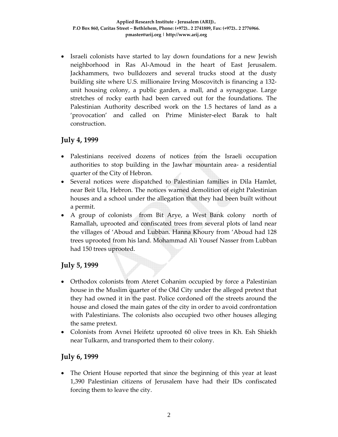• Israeli colonists have started to lay down foundations for a new Jewish neighborhood in Ras Al‐Amoud in the heart of East Jerusalem. Jackhammers, two bulldozers and several trucks stood at the dusty building site where U.S. millionaire Irving Moscovitch is financing a 132‐ unit housing colony, a public garden, a mall, and a synagogue. Large stretches of rocky earth had been carved out for the foundations. The Palestinian Authority described work on the 1.5 hectares of land as a 'provocation' and called on Prime Minister‐elect Barak to halt construction.

# **July 4, 1999**

- Palestinians received dozens of notices from the Israeli occupation authorities to stop building in the Jawhar mountain area‐ a residential quarter of the City of Hebron.
- Several notices were dispatched to Palestinian families in Dila Hamlet, near Beit Ula, Hebron. The notices warned demolition of eight Palestinian houses and a school under the allegation that they had been built without a permit.
- A group of colonists from Bit Arye, a West Bank colony north of Ramallah, uprooted and confiscated trees from several plots of land near the villages of 'Aboud and Lubban. Hanna Khoury from 'Aboud had 128 trees uprooted from his land. Mohammad Ali Yousef Nasser from Lubban had 150 trees uprooted.

# **July 5, 1999**

- Orthodox colonists from Ateret Cohanim occupied by force a Palestinian house in the Muslim quarter of the Old City under the alleged pretext that they had owned it in the past. Police cordoned off the streets around the house and closed the main gates of the city in order to avoid confrontation with Palestinians. The colonists also occupied two other houses alleging the same pretext.
- Colonists from Avnei Heifetz uprooted 60 olive trees in Kh. Esh Shiekh near Tulkarm, and transported them to their colony.

# **July 6, 1999**

• The Orient House reported that since the beginning of this year at least 1,390 Palestinian citizens of Jerusalem have had their IDs confiscated forcing them to leave the city.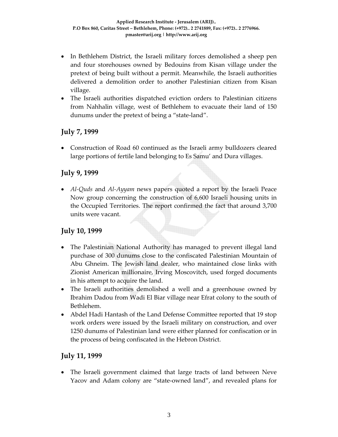- In Bethlehem District, the Israeli military forces demolished a sheep pen and four storehouses owned by Bedouins from Kisan village under the pretext of being built without a permit. Meanwhile, the Israeli authorities delivered a demolition order to another Palestinian citizen from Kisan village.
- The Israeli authorities dispatched eviction orders to Palestinian citizens from Nahhalin village, west of Bethlehem to evacuate their land of 150 dunums under the pretext of being a "state‐land".

### **July 7, 1999**

• Construction of Road 60 continued as the Israeli army bulldozers cleared large portions of fertile land belonging to Es Samu' and Dura villages.

### **July 9, 1999**

• *Al‐Quds* and *Al‐Ayyam* news papers quoted a report by the Israeli Peace Now group concerning the construction of 6,600 Israeli housing units in the Occupied Territories. The report confirmed the fact that around 3,700 units were vacant.

# **July 10, 1999**

- The Palestinian National Authority has managed to prevent illegal land purchase of 300 dunums close to the confiscated Palestinian Mountain of Abu Ghneim. The Jewish land dealer, who maintained close links with Zionist American millionaire, Irving Moscovitch, used forged documents in his attempt to acquire the land.
- The Israeli authorities demolished a well and a greenhouse owned by Ibrahim Dadou from Wadi El Biar village near Efrat colony to the south of Bethlehem.
- Abdel Hadi Hantash of the Land Defense Committee reported that 19 stop work orders were issued by the Israeli military on construction, and over 1250 dunums of Palestinian land were either planned for confiscation or in the process of being confiscated in the Hebron District.

# **July 11, 1999**

• The Israeli government claimed that large tracts of land between Neve Yacov and Adam colony are "state‐owned land", and revealed plans for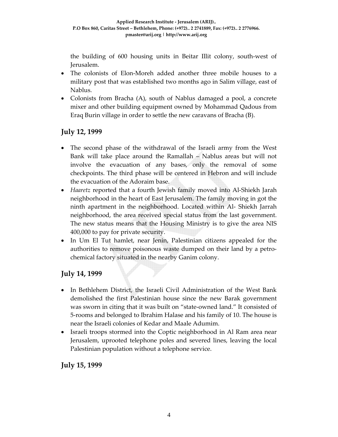the building of 600 housing units in Beitar Illit colony, south‐west of Jerusalem.

- The colonists of Elon‐Moreh added another three mobile houses to a military post that was established two months ago in Salim village, east of Nablus.
- Colonists from Bracha (A), south of Nablus damaged a pool, a concrete mixer and other building equipment owned by Mohammad Qadous from Eraq Burin village in order to settle the new caravans of Bracha (B).

### **July 12, 1999**

- The second phase of the withdrawal of the Israeli army from the West Bank will take place around the Ramallah – Nablus areas but will not involve the evacuation of any bases, only the removal of some checkpoints. The third phase will be centered in Hebron and will include the evacuation of the Adoraim base.
- *Haaretz* reported that a fourth Jewish family moved into Al-Shiekh Jarah neighborhood in the heart of East Jerusalem. The family moving in got the ninth apartment in the neighborhood. Located within Al‐ Shiekh Jarrah neighborhood, the area received special status from the last government. The new status means that the Housing Ministry is to give the area NIS 400,000 to pay for private security.
- In Um El Tut hamlet, near Jenin, Palestinian citizens appealed for the authorities to remove poisonous waste dumped on their land by a petro‐ chemical factory situated in the nearby Ganim colony.

# **July 14, 1999**

- In Bethlehem District, the Israeli Civil Administration of the West Bank demolished the first Palestinian house since the new Barak government was sworn in citing that it was built on "state-owned land." It consisted of 5‐rooms and belonged to Ibrahim Halase and his family of 10. The house is near the Israeli colonies of Kedar and Maale Adumim.
- Israeli troops stormed into the Coptic neighborhood in Al Ram area near Jerusalem, uprooted telephone poles and severed lines, leaving the local Palestinian population without a telephone service.

### **July 15, 1999**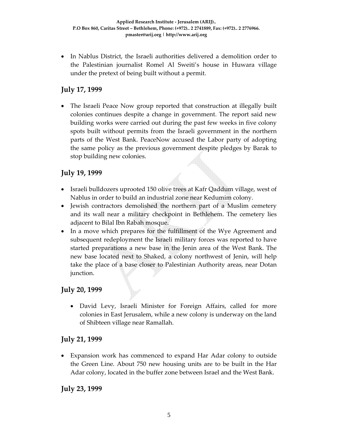• In Nablus District, the Israeli authorities delivered a demolition order to the Palestinian journalist Romel Al Sweiti's house in Huwara village under the pretext of being built without a permit.

### **July 17, 1999**

• The Israeli Peace Now group reported that construction at illegally built colonies continues despite a change in government. The report said new building works were carried out during the past few weeks in five colony spots built without permits from the Israeli government in the northern parts of the West Bank. PeaceNow accused the Labor party of adopting the same policy as the previous government despite pledges by Barak to stop building new colonies.

### **July 19, 1999**

- Israeli bulldozers uprooted 150 olive trees at Kafr Qaddum village, west of Nablus in order to build an industrial zone near Kedumim colony.
- Jewish contractors demolished the northern part of a Muslim cemetery and its wall near a military checkpoint in Bethlehem. The cemetery lies adjacent to Bilal Ibn Rabah mosque.
- In a move which prepares for the fulfillment of the Wye Agreement and subsequent redeployment the Israeli military forces was reported to have started preparations a new base in the Jenin area of the West Bank. The new base located next to Shaked, a colony northwest of Jenin, will help take the place of a base closer to Palestinian Authority areas, near Dotan junction.

### **July 20, 1999**

• David Levy, Israeli Minister for Foreign Affairs, called for more colonies in East Jerusalem, while a new colony is underway on the land of Shibteen village near Ramallah.

### **July 21, 1999**

• Expansion work has commenced to expand Har Adar colony to outside the Green Line. About 750 new housing units are to be built in the Har Adar colony, located in the buffer zone between Israel and the West Bank.

### **July 23, 1999**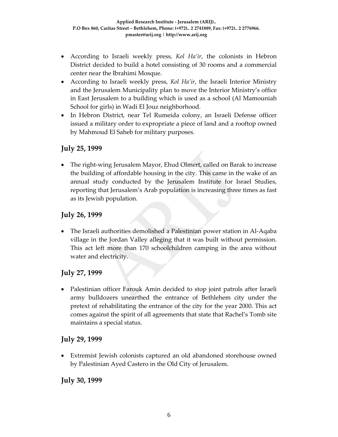- According to Israeli weekly press*, Kol Ha'ir*, the colonists in Hebron District decided to build a hotel consisting of 30 rooms and a commercial center near the Ibrahimi Mosque.
- According to Israeli weekly press, *Kol Ha'ir*, the Israeli Interior Ministry and the Jerusalem Municipality plan to move the Interior Ministry's office in East Jerusalem to a building which is used as a school (Al Mamouniah School for girls) in Wadi El Jouz neighborhood.
- In Hebron District, near Tel Rumeida colony, an Israeli Defense officer issued a military order to expropriate a piece of land and a rooftop owned by Mahmoud El Saheb for military purposes.

### **July 25, 1999**

• The right-wing Jerusalem Mayor, Ehud Olmert, called on Barak to increase the building of affordable housing in the city. This came in the wake of an annual study conducted by the Jerusalem Institute for Israel Studies, reporting that Jerusalem's Arab population is increasing three times as fast as its Jewish population.

### **July 26, 1999**

• The Israeli authorities demolished a Palestinian power station in Al-Aqaba village in the Jordan Valley alleging that it was built without permission. This act left more than 170 schoolchildren camping in the area without water and electricity.

### **July 27, 1999**

• Palestinian officer Farouk Amin decided to stop joint patrols after Israeli army bulldozers unearthed the entrance of Bethlehem city under the pretext of rehabilitating the entrance of the city for the year 2000. This act comes against the spirit of all agreements that state that Rachel's Tomb site maintains a special status.

### **July 29, 1999**

• Extremist Jewish colonists captured an old abandoned storehouse owned by Palestinian Ayed Castero in the Old City of Jerusalem.

# **July 30, 1999**